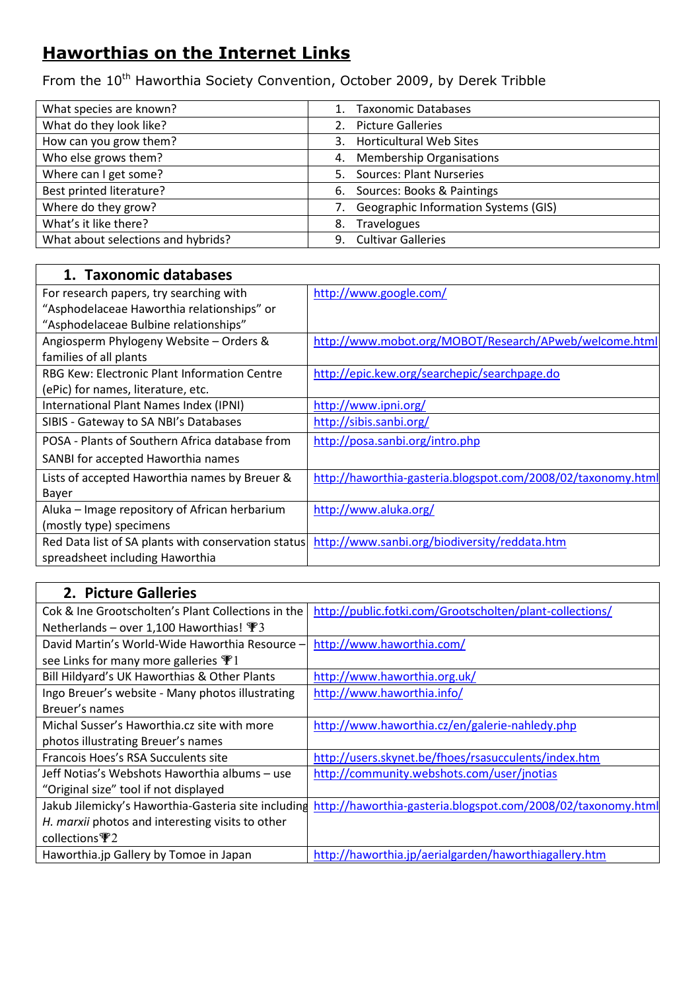## **Haworthias on the Internet Links**

From the 10<sup>th</sup> Haworthia Society Convention, October 2009, by Derek Tribble

| What species are known?            | <b>Taxonomic Databases</b>                 |
|------------------------------------|--------------------------------------------|
| What do they look like?            | <b>Picture Galleries</b><br>2.             |
| How can you grow them?             | <b>Horticultural Web Sites</b><br>3.       |
| Who else grows them?               | <b>Membership Organisations</b><br>4.      |
| Where can I get some?              | <b>Sources: Plant Nurseries</b><br>5.      |
| <b>Best printed literature?</b>    | 6. Sources: Books & Paintings              |
| Where do they grow?                | Geographic Information Systems (GIS)<br>7. |
| What's it like there?              | <b>Travelogues</b><br>8.                   |
| What about selections and hybrids? | 9. Cultivar Galleries                      |

| 1. Taxonomic databases                              |                                                              |
|-----------------------------------------------------|--------------------------------------------------------------|
| For research papers, try searching with             | http://www.google.com/                                       |
| "Asphodelaceae Haworthia relationships" or          |                                                              |
| "Asphodelaceae Bulbine relationships"               |                                                              |
| Angiosperm Phylogeny Website - Orders &             | http://www.mobot.org/MOBOT/Research/APweb/welcome.html       |
| families of all plants                              |                                                              |
| RBG Kew: Electronic Plant Information Centre        | http://epic.kew.org/searchepic/searchpage.do                 |
| (ePic) for names, literature, etc.                  |                                                              |
| International Plant Names Index (IPNI)              | http://www.ipni.org/                                         |
| SIBIS - Gateway to SA NBI's Databases               | http://sibis.sanbi.org/                                      |
| POSA - Plants of Southern Africa database from      | http://posa.sanbi.org/intro.php                              |
| SANBI for accepted Haworthia names                  |                                                              |
| Lists of accepted Haworthia names by Breuer &       | http://haworthia-gasteria.blogspot.com/2008/02/taxonomy.html |
| Bayer                                               |                                                              |
| Aluka – Image repository of African herbarium       | http://www.aluka.org/                                        |
| (mostly type) specimens                             |                                                              |
| Red Data list of SA plants with conservation status | http://www.sanbi.org/biodiversity/reddata.htm                |
| spreadsheet including Haworthia                     |                                                              |

| 2. Picture Galleries                                |                                                              |
|-----------------------------------------------------|--------------------------------------------------------------|
| Cok & Ine Grootscholten's Plant Collections in the  | http://public.fotki.com/Grootscholten/plant-collections/     |
| Netherlands – over 1,100 Haworthias! $\mathcal{F}3$ |                                                              |
| David Martin's World-Wide Haworthia Resource -      | http://www.haworthia.com/                                    |
| see Links for many more galleries $\Psi$ 1          |                                                              |
| Bill Hildyard's UK Haworthias & Other Plants        | http://www.haworthia.org.uk/                                 |
| Ingo Breuer's website - Many photos illustrating    | http://www.haworthia.info/                                   |
| Breuer's names                                      |                                                              |
| Michal Susser's Haworthia.cz site with more         | http://www.haworthia.cz/en/galerie-nahledy.php               |
| photos illustrating Breuer's names                  |                                                              |
| Francois Hoes's RSA Succulents site                 | http://users.skynet.be/fhoes/rsasucculents/index.htm         |
| Jeff Notias's Webshots Haworthia albums - use       | http://community.webshots.com/user/jnotias                   |
| "Original size" tool if not displayed               |                                                              |
| Jakub Jilemicky's Haworthia-Gasteria site including | http://haworthia-gasteria.blogspot.com/2008/02/taxonomy.html |
| H. marxii photos and interesting visits to other    |                                                              |
| collections $\mathbb{P}2$                           |                                                              |
| Haworthia.jp Gallery by Tomoe in Japan              | http://haworthia.jp/aerialgarden/haworthiagallery.htm        |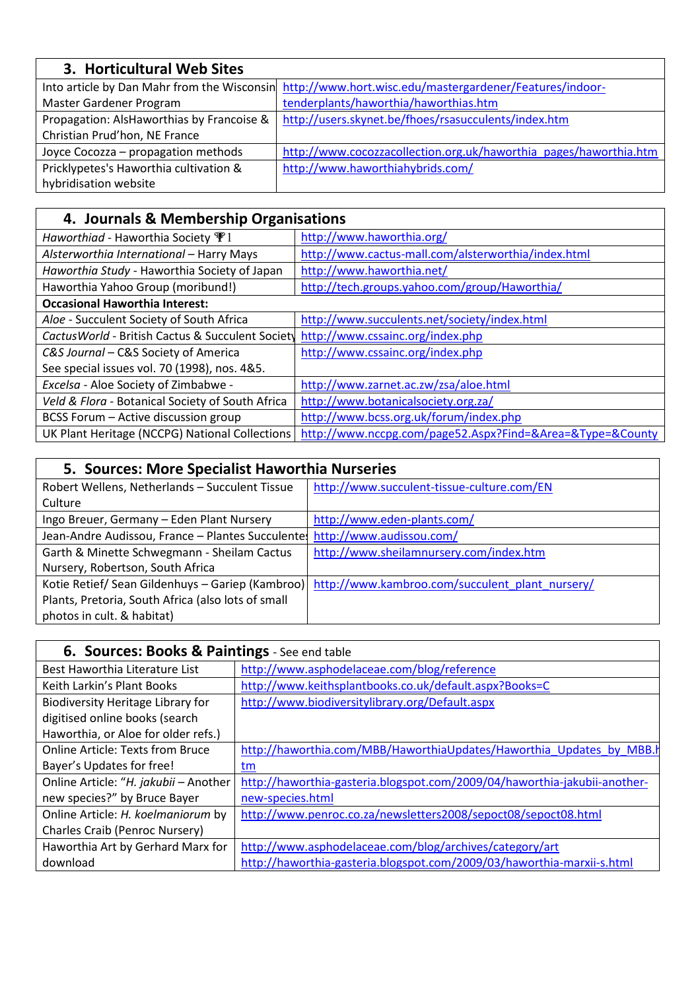| 3. Horticultural Web Sites                |                                                                                                      |
|-------------------------------------------|------------------------------------------------------------------------------------------------------|
|                                           | Into article by Dan Mahr from the Wisconsin http://www.hort.wisc.edu/mastergardener/Features/indoor- |
| Master Gardener Program                   | tenderplants/haworthia/haworthias.htm                                                                |
| Propagation: AlsHaworthias by Francoise & | http://users.skynet.be/fhoes/rsasucculents/index.htm                                                 |
| Christian Prud'hon, NE France             |                                                                                                      |
| Joyce Cocozza - propagation methods       | http://www.cocozzacollection.org.uk/haworthia pages/haworthia.htm                                    |
| Pricklypetes's Haworthia cultivation &    | http://www.haworthiahybrids.com/                                                                     |
| hybridisation website                     |                                                                                                      |

## **4. Journals & Membership Organisations**

 $\overline{\phantom{a}}$ 

 $\overline{\phantom{a}}$ 

| Haworthiad - Haworthia Society $\Psi$ 1           | http://www.haworthia.org/                                 |
|---------------------------------------------------|-----------------------------------------------------------|
| Alsterworthia International - Harry Mays          | http://www.cactus-mall.com/alsterworthia/index.html       |
| Haworthia Study - Haworthia Society of Japan      | http://www.haworthia.net/                                 |
| Haworthia Yahoo Group (moribund!)                 | http://tech.groups.yahoo.com/group/Haworthia/             |
| <b>Occasional Haworthia Interest:</b>             |                                                           |
| Aloe - Succulent Society of South Africa          | http://www.succulents.net/society/index.html              |
| Cactus World - British Cactus & Succulent Society | http://www.cssainc.org/index.php                          |
| C&S Journal - C&S Society of America              | http://www.cssainc.org/index.php                          |
| See special issues vol. 70 (1998), nos. 4&5.      |                                                           |
| Excelsa - Aloe Society of Zimbabwe -              | http://www.zarnet.ac.zw/zsa/aloe.html                     |
| Veld & Flora - Botanical Society of South Africa  | http://www.botanicalsociety.org.za/                       |
| BCSS Forum - Active discussion group              | http://www.bcss.org.uk/forum/index.php                    |
| UK Plant Heritage (NCCPG) National Collections    | http://www.nccpg.com/page52.Aspx?Find=&Area=&Type=&County |

## **5. Sources: More Specialist Haworthia Nurseries**

| Robert Wellens, Netherlands - Succulent Tissue     | http://www.succulent-tissue-culture.com/EN                                                       |
|----------------------------------------------------|--------------------------------------------------------------------------------------------------|
| Culture                                            |                                                                                                  |
| Ingo Breuer, Germany - Eden Plant Nursery          | http://www.eden-plants.com/                                                                      |
| Jean-Andre Audissou, France - Plantes Succulentes  | http://www.audissou.com/                                                                         |
| Garth & Minette Schwegmann - Sheilam Cactus        | http://www.sheilamnursery.com/index.htm                                                          |
| Nursery, Robertson, South Africa                   |                                                                                                  |
|                                                    | Kotie Retief/ Sean Gildenhuys - Gariep (Kambroo) http://www.kambroo.com/succulent_plant_nursery/ |
| Plants, Pretoria, South Africa (also lots of small |                                                                                                  |
| photos in cult. & habitat)                         |                                                                                                  |

| 6. Sources: Books & Paintings - See end table |                                                                           |
|-----------------------------------------------|---------------------------------------------------------------------------|
| Best Haworthia Literature List                | http://www.asphodelaceae.com/blog/reference                               |
| Keith Larkin's Plant Books                    | http://www.keithsplantbooks.co.uk/default.aspx?Books=C                    |
| Biodiversity Heritage Library for             | http://www.biodiversitylibrary.org/Default.aspx                           |
| digitised online books (search                |                                                                           |
| Haworthia, or Aloe for older refs.)           |                                                                           |
| <b>Online Article: Texts from Bruce</b>       | http://haworthia.com/MBB/HaworthiaUpdates/Haworthia Updates by MBB.       |
| Bayer's Updates for free!                     | tm.                                                                       |
| Online Article: "H. jakubii - Another         | http://haworthia-gasteria.blogspot.com/2009/04/haworthia-jakubii-another- |
| new species?" by Bruce Bayer                  | new-species.html                                                          |
| Online Article: H. koelmaniorum by            | http://www.penroc.co.za/newsletters2008/sepoct08/sepoct08.html            |
| Charles Craib (Penroc Nursery)                |                                                                           |
| Haworthia Art by Gerhard Marx for             | http://www.asphodelaceae.com/blog/archives/category/art                   |
| download                                      | http://haworthia-gasteria.blogspot.com/2009/03/haworthia-marxii-s.html    |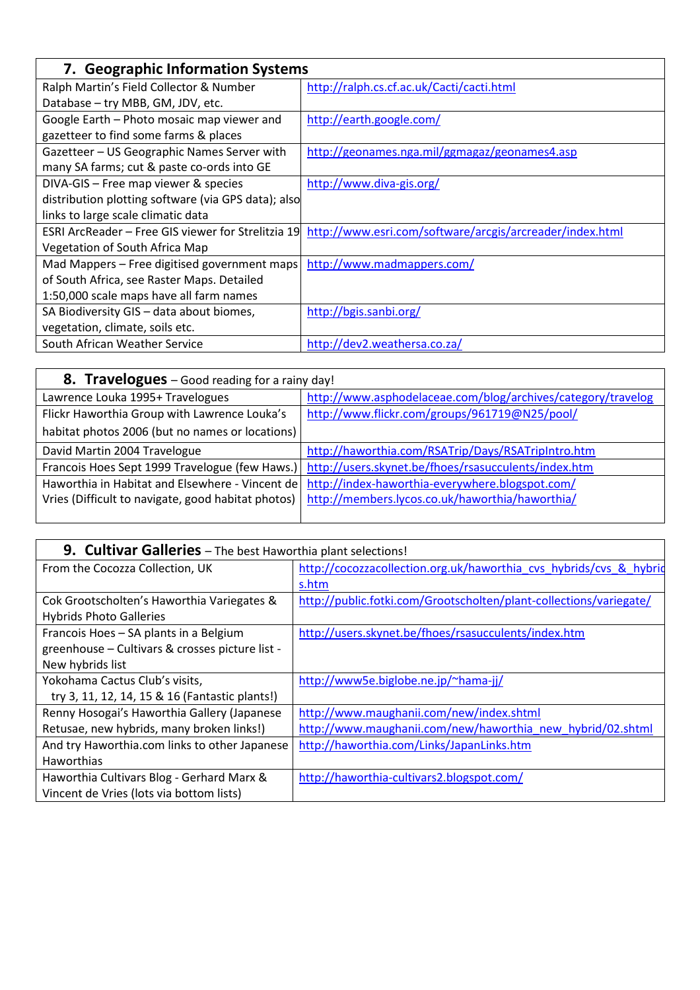| 7. Geographic Information Systems                   |                                                          |
|-----------------------------------------------------|----------------------------------------------------------|
| Ralph Martin's Field Collector & Number             | http://ralph.cs.cf.ac.uk/Cacti/cacti.html                |
| Database - try MBB, GM, JDV, etc.                   |                                                          |
| Google Earth - Photo mosaic map viewer and          | http://earth.google.com/                                 |
| gazetteer to find some farms & places               |                                                          |
| Gazetteer - US Geographic Names Server with         | http://geonames.nga.mil/ggmagaz/geonames4.asp            |
| many SA farms; cut & paste co-ords into GE          |                                                          |
| DIVA-GIS - Free map viewer & species                | http://www.diva-gis.org/                                 |
| distribution plotting software (via GPS data); also |                                                          |
| links to large scale climatic data                  |                                                          |
| ESRI ArcReader – Free GIS viewer for Strelitzia 19  | http://www.esri.com/software/arcgis/arcreader/index.html |
| Vegetation of South Africa Map                      |                                                          |
| Mad Mappers - Free digitised government maps        | http://www.madmappers.com/                               |
| of South Africa, see Raster Maps. Detailed          |                                                          |
| 1:50,000 scale maps have all farm names             |                                                          |
| SA Biodiversity GIS - data about biomes,            | http://bgis.sanbi.org/                                   |
| vegetation, climate, soils etc.                     |                                                          |
| South African Weather Service                       | http://dev2.weathersa.co.za/                             |

| 8. Travelogues - Good reading for a rainy day!     |                                                                                                     |
|----------------------------------------------------|-----------------------------------------------------------------------------------------------------|
| Lawrence Louka 1995+ Travelogues                   | http://www.asphodelaceae.com/blog/archives/category/travelog                                        |
| Flickr Haworthia Group with Lawrence Louka's       | http://www.flickr.com/groups/961719@N25/pool/                                                       |
| habitat photos 2006 (but no names or locations)    |                                                                                                     |
| David Martin 2004 Travelogue                       | http://haworthia.com/RSATrip/Days/RSATripIntro.htm                                                  |
|                                                    | Francois Hoes Sept 1999 Travelogue (few Haws.) http://users.skynet.be/fhoes/rsasucculents/index.htm |
| Haworthia in Habitat and Elsewhere - Vincent de    | http://index-haworthia-everywhere.blogspot.com/                                                     |
| Vries (Difficult to navigate, good habitat photos) | http://members.lycos.co.uk/haworthia/haworthia/                                                     |
|                                                    |                                                                                                     |

| 9. Cultivar Galleries - The best Haworthia plant selections! |                                                                    |
|--------------------------------------------------------------|--------------------------------------------------------------------|
| From the Cocozza Collection, UK                              | http://cocozzacollection.org.uk/haworthia cvs hybrids/cvs & hybrid |
|                                                              | s.htm                                                              |
| Cok Grootscholten's Haworthia Variegates &                   | http://public.fotki.com/Grootscholten/plant-collections/variegate/ |
| <b>Hybrids Photo Galleries</b>                               |                                                                    |
| Francois Hoes - SA plants in a Belgium                       | http://users.skynet.be/fhoes/rsasucculents/index.htm               |
| greenhouse - Cultivars & crosses picture list -              |                                                                    |
| New hybrids list                                             |                                                                    |
| Yokohama Cactus Club's visits,                               | http://www5e.biglobe.ne.jp/~hama-jj/                               |
| try 3, 11, 12, 14, 15 & 16 (Fantastic plants!)               |                                                                    |
| Renny Hosogai's Haworthia Gallery (Japanese                  | http://www.maughanii.com/new/index.shtml                           |
| Retusae, new hybrids, many broken links!)                    | http://www.maughanii.com/new/haworthia new hybrid/02.shtml         |
| And try Haworthia.com links to other Japanese                | http://haworthia.com/Links/JapanLinks.htm                          |
| <b>Haworthias</b>                                            |                                                                    |
| Haworthia Cultivars Blog - Gerhard Marx &                    | http://haworthia-cultivars2.blogspot.com/                          |
| Vincent de Vries (lots via bottom lists)                     |                                                                    |